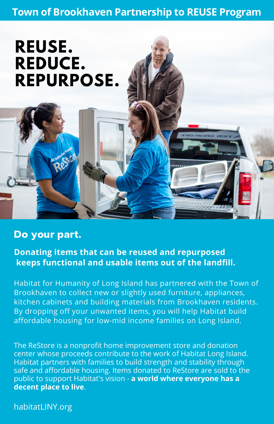## **Town of Brookhaven Partnership to REUSE Program**

# **REUSE. REDUCE. REPURPOSE.**

REJO

## **Do your part.**

**Donating items that can be reused and repurposed keeps functional and usable items out of the landfill.**

Habitat for Humanity of Long Island has partnered with the Town of Brookhaven to collect new or slightly used furniture, appliances, kitchen cabinets and building materials from Brookhaven residents. By dropping off your unwanted items, you will help Habitat build affordable housing for low-mid income families on Long Island.

The ReStore is a nonprofit home improvement store and donation center whose proceeds contribute to the work of Habitat Long Island. Habitat partners with families to build strength and stability through safe and affordable housing. Items donated to ReStore are sold to the public to support Habitat's vision - **a world where everyone has a decent place to live**.

habitatLINY.org